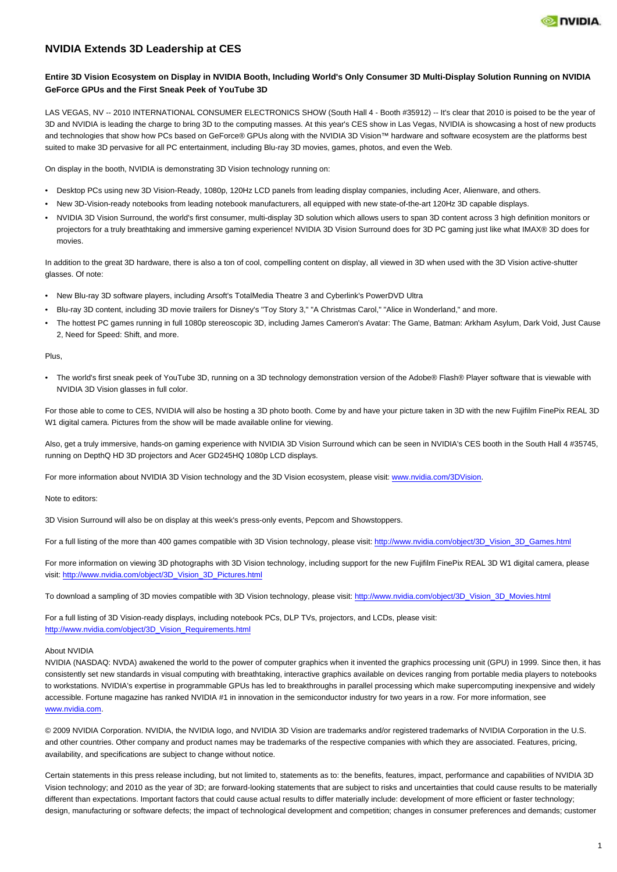

# **NVIDIA Extends 3D Leadership at CES**

## **Entire 3D Vision Ecosystem on Display in NVIDIA Booth, Including World's Only Consumer 3D Multi-Display Solution Running on NVIDIA GeForce GPUs and the First Sneak Peek of YouTube 3D**

LAS VEGAS, NV -- 2010 INTERNATIONAL CONSUMER ELECTRONICS SHOW (South Hall 4 - Booth #35912) -- It's clear that 2010 is poised to be the year of 3D and NVIDIA is leading the charge to bring 3D to the computing masses. At this year's CES show in Las Vegas, NVIDIA is showcasing a host of new products and technologies that show how PCs based on GeForce® GPUs along with the NVIDIA 3D Vision™ hardware and software ecosystem are the platforms best suited to make 3D pervasive for all PC entertainment, including Blu-ray 3D movies, games, photos, and even the Web.

On display in the booth, NVIDIA is demonstrating 3D Vision technology running on:

- Desktop PCs using new 3D Vision-Ready, 1080p, 120Hz LCD panels from leading display companies, including Acer, Alienware, and others.
- New 3D-Vision-ready notebooks from leading notebook manufacturers, all equipped with new state-of-the-art 120Hz 3D capable displays.
- NVIDIA 3D Vision Surround, the world's first consumer, multi-display 3D solution which allows users to span 3D content across 3 high definition monitors or projectors for a truly breathtaking and immersive gaming experience! NVIDIA 3D Vision Surround does for 3D PC gaming just like what IMAX® 3D does for movies.

In addition to the great 3D hardware, there is also a ton of cool, compelling content on display, all viewed in 3D when used with the 3D Vision active-shutter glasses. Of note:

- New Blu-ray 3D software players, including Arsoft's TotalMedia Theatre 3 and Cyberlink's PowerDVD Ultra
- Blu-ray 3D content, including 3D movie trailers for Disney's "Toy Story 3," "A Christmas Carol," "Alice in Wonderland," and more.
- The hottest PC games running in full 1080p stereoscopic 3D, including James Cameron's Avatar: The Game, Batman: Arkham Asylum, Dark Void, Just Cause 2, Need for Speed: Shift, and more.

#### Plus,

• The world's first sneak peek of YouTube 3D, running on a 3D technology demonstration version of the Adobe® Flash® Player software that is viewable with NVIDIA 3D Vision glasses in full color.

For those able to come to CES, NVIDIA will also be hosting a 3D photo booth. Come by and have your picture taken in 3D with the new Fujifilm FinePix REAL 3D W1 digital camera. Pictures from the show will be made available online for viewing.

Also, get a truly immersive, hands-on gaming experience with NVIDIA 3D Vision Surround which can be seen in NVIDIA's CES booth in the South Hall 4 #35745, running on DepthQ HD 3D projectors and Acer GD245HQ 1080p LCD displays.

For more information about NVIDIA 3D Vision technology and the 3D Vision ecosystem, please visit: [www.nvidia.com/3DVision.](http://www.nvidia.com/3DVision)

Note to editors:

3D Vision Surround will also be on display at this week's press-only events, Pepcom and Showstoppers.

For a full listing of the more than 400 games compatible with 3D Vision technology, please visit: [http://www.nvidia.com/object/3D\\_Vision\\_3D\\_Games.html](http://www.nvidia.com/object/3D_Vision_3D_Games.html)

For more information on viewing 3D photographs with 3D Vision technology, including support for the new Fujifilm FinePix REAL 3D W1 digital camera, please visit: [http://www.nvidia.com/object/3D\\_Vision\\_3D\\_Pictures.html](http://www.nvidia.com/object/3D_Vision_3D_Pictures.html)

To download a sampling of 3D movies compatible with 3D Vision technology, please visit: [http://www.nvidia.com/object/3D\\_Vision\\_3D\\_Movies.html](http://www.nvidia.com/object/3D_Vision_3D_Movies.html)

For a full listing of 3D Vision-ready displays, including notebook PCs, DLP TVs, projectors, and LCDs, please visit: [http://www.nvidia.com/object/3D\\_Vision\\_Requirements.html](http://www.nvidia.com/object/3D_Vision_Requirements.html)

#### About NVIDIA

NVIDIA (NASDAQ: NVDA) awakened the world to the power of computer graphics when it invented the graphics processing unit (GPU) in 1999. Since then, it has consistently set new standards in visual computing with breathtaking, interactive graphics available on devices ranging from portable media players to notebooks to workstations. NVIDIA's expertise in programmable GPUs has led to breakthroughs in parallel processing which make supercomputing inexpensive and widely accessible. Fortune magazine has ranked NVIDIA #1 in innovation in the semiconductor industry for two years in a row. For more information, see [www.nvidia.com.](http://www.nvidia.com)

© 2009 NVIDIA Corporation. NVIDIA, the NVIDIA logo, and NVIDIA 3D Vision are trademarks and/or registered trademarks of NVIDIA Corporation in the U.S. and other countries. Other company and product names may be trademarks of the respective companies with which they are associated. Features, pricing, availability, and specifications are subject to change without notice.

Certain statements in this press release including, but not limited to, statements as to: the benefits, features, impact, performance and capabilities of NVIDIA 3D Vision technology; and 2010 as the year of 3D; are forward-looking statements that are subject to risks and uncertainties that could cause results to be materially different than expectations. Important factors that could cause actual results to differ materially include: development of more efficient or faster technology; design, manufacturing or software defects; the impact of technological development and competition; changes in consumer preferences and demands; customer